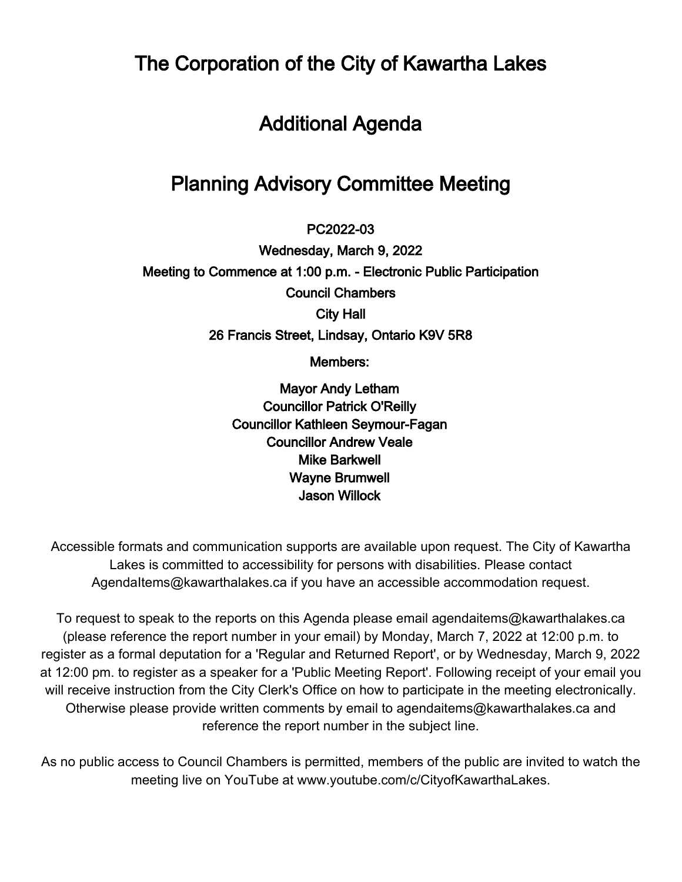The Corporation of the City of Kawartha Lakes

# Additional Agenda

# Planning Advisory Committee Meeting

 $\overline{\phantom{a}}$ PC2022-03

Wednesday, March 9, 2022 Meeting to Commence at 1:00 p.m. - Electronic Public Participation Council Chambers City Hall 26 Francis Street, Lindsay, Ontario K9V 5R8

Members:

Mayor Andy Letham Councillor Patrick O'Reilly Councillor Kathleen Seymour-Fagan Councillor Andrew Veale Mike Barkwell Wayne Brumwell Jason Willock

Accessible formats and communication supports are available upon request. The City of Kawartha Lakes is committed to accessibility for persons with disabilities. Please contact AgendaItems@kawarthalakes.ca if you have an accessible accommodation request.

To request to speak to the reports on this Agenda please email agendaitems@kawarthalakes.ca (please reference the report number in your email) by Monday, March 7, 2022 at 12:00 p.m. to register as a formal deputation for a 'Regular and Returned Report', or by Wednesday, March 9, 2022 at 12:00 pm. to register as a speaker for a 'Public Meeting Report'. Following receipt of your email you will receive instruction from the City Clerk's Office on how to participate in the meeting electronically. Otherwise please provide written comments by email to agendaitems@kawarthalakes.ca and reference the report number in the subject line.

As no public access to Council Chambers is permitted, members of the public are invited to watch the meeting live on YouTube at www.youtube.com/c/CityofKawarthaLakes.